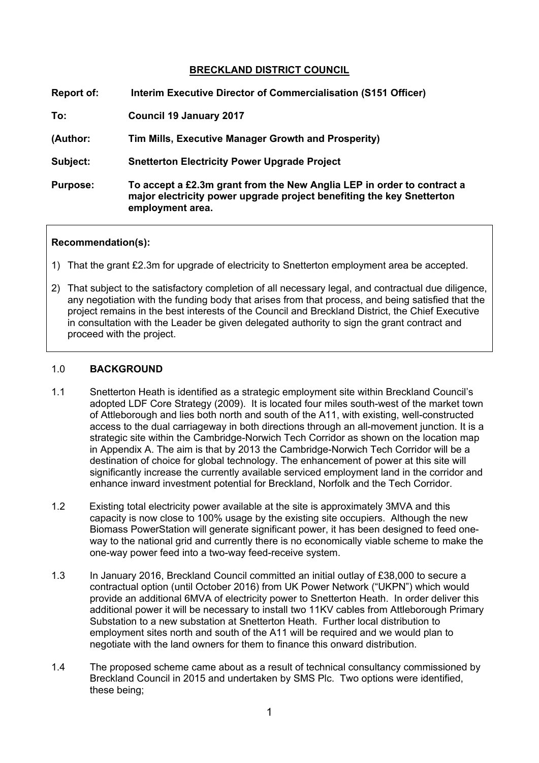# **BRECKLAND DISTRICT COUNCIL**

| Report of:      | Interim Executive Director of Commercialisation (S151 Officer)                                                                                                      |
|-----------------|---------------------------------------------------------------------------------------------------------------------------------------------------------------------|
| To:             | <b>Council 19 January 2017</b>                                                                                                                                      |
| (Author:        | Tim Mills, Executive Manager Growth and Prosperity)                                                                                                                 |
| Subject:        | <b>Snetterton Electricity Power Upgrade Project</b>                                                                                                                 |
| <b>Purpose:</b> | To accept a £2.3m grant from the New Anglia LEP in order to contract a<br>major electricity power upgrade project benefiting the key Snetterton<br>employment area. |

#### **Recommendation(s):**

- 1) That the grant £2.3m for upgrade of electricity to Snetterton employment area be accepted.
- 2) That subject to the satisfactory completion of all necessary legal, and contractual due diligence, any negotiation with the funding body that arises from that process, and being satisfied that the project remains in the best interests of the Council and Breckland District, the Chief Executive in consultation with the Leader be given delegated authority to sign the grant contract and proceed with the project.

# 1.0 **BACKGROUND**

- 1.1 Snetterton Heath is identified as a strategic employment site within Breckland Council's adopted LDF Core Strategy (2009). It is located four miles south-west of the market town of Attleborough and lies both north and south of the A11, with existing, well-constructed access to the dual carriageway in both directions through an all-movement junction. It is a strategic site within the Cambridge-Norwich Tech Corridor as shown on the location map in Appendix A. The aim is that by 2013 the Cambridge-Norwich Tech Corridor will be a destination of choice for global technology. The enhancement of power at this site will significantly increase the currently available serviced employment land in the corridor and enhance inward investment potential for Breckland, Norfolk and the Tech Corridor.
- 1.2 Existing total electricity power available at the site is approximately 3MVA and this capacity is now close to 100% usage by the existing site occupiers. Although the new Biomass PowerStation will generate significant power, it has been designed to feed oneway to the national grid and currently there is no economically viable scheme to make the one-way power feed into a two-way feed-receive system.
- 1.3 In January 2016, Breckland Council committed an initial outlay of £38,000 to secure a contractual option (until October 2016) from UK Power Network ("UKPN") which would provide an additional 6MVA of electricity power to Snetterton Heath. In order deliver this additional power it will be necessary to install two 11KV cables from Attleborough Primary Substation to a new substation at Snetterton Heath. Further local distribution to employment sites north and south of the A11 will be required and we would plan to negotiate with the land owners for them to finance this onward distribution.
- 1.4 The proposed scheme came about as a result of technical consultancy commissioned by Breckland Council in 2015 and undertaken by SMS Plc. Two options were identified, these being;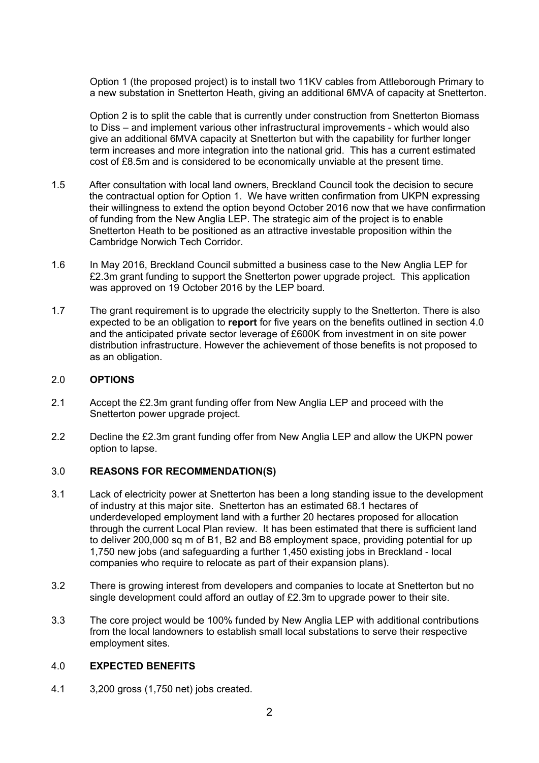Option 1 (the proposed project) is to install two 11KV cables from Attleborough Primary to a new substation in Snetterton Heath, giving an additional 6MVA of capacity at Snetterton.

Option 2 is to split the cable that is currently under construction from Snetterton Biomass to Diss – and implement various other infrastructural improvements - which would also give an additional 6MVA capacity at Snetterton but with the capability for further longer term increases and more integration into the national grid. This has a current estimated cost of £8.5m and is considered to be economically unviable at the present time.

- 1.5 After consultation with local land owners, Breckland Council took the decision to secure the contractual option for Option 1. We have written confirmation from UKPN expressing their willingness to extend the option beyond October 2016 now that we have confirmation of funding from the New Anglia LEP. The strategic aim of the project is to enable Snetterton Heath to be positioned as an attractive investable proposition within the Cambridge Norwich Tech Corridor.
- 1.6 In May 2016, Breckland Council submitted a business case to the New Anglia LEP for £2.3m grant funding to support the Snetterton power upgrade project. This application was approved on 19 October 2016 by the LEP board.
- 1.7 The grant requirement is to upgrade the electricity supply to the Snetterton. There is also expected to be an obligation to **report** for five years on the benefits outlined in section 4.0 and the anticipated private sector leverage of £600K from investment in on site power distribution infrastructure. However the achievement of those benefits is not proposed to as an obligation.

### 2.0 **OPTIONS**

- 2.1 Accept the £2.3m grant funding offer from New Anglia LEP and proceed with the Snetterton power upgrade project.
- 2.2 Decline the £2.3m grant funding offer from New Anglia LEP and allow the UKPN power option to lapse.

# 3.0 **REASONS FOR RECOMMENDATION(S)**

- 3.1 Lack of electricity power at Snetterton has been a long standing issue to the development of industry at this major site. Snetterton has an estimated 68.1 hectares of underdeveloped employment land with a further 20 hectares proposed for allocation through the current Local Plan review. It has been estimated that there is sufficient land to deliver 200,000 sq m of B1, B2 and B8 employment space, providing potential for up 1,750 new jobs (and safeguarding a further 1,450 existing jobs in Breckland - local companies who require to relocate as part of their expansion plans).
- 3.2 There is growing interest from developers and companies to locate at Snetterton but no single development could afford an outlay of £2.3m to upgrade power to their site.
- 3.3 The core project would be 100% funded by New Anglia LEP with additional contributions from the local landowners to establish small local substations to serve their respective employment sites.

#### 4.0 **EXPECTED BENEFITS**

4.1 3,200 gross (1,750 net) jobs created.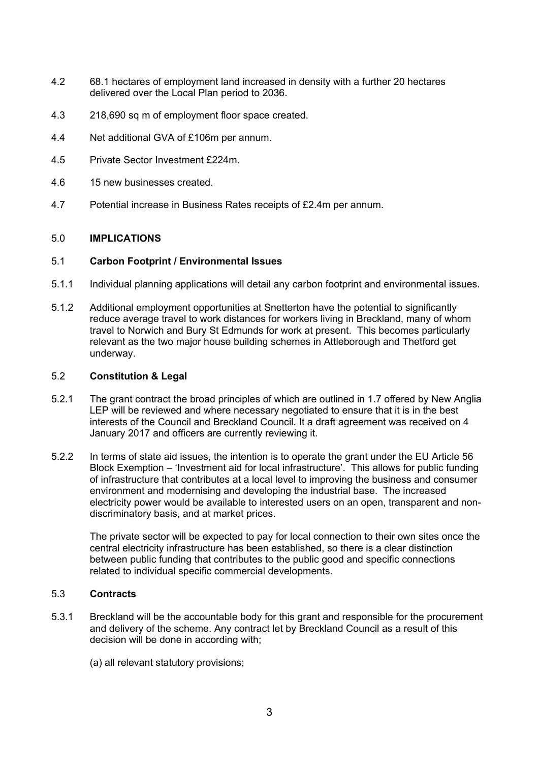- 4.2 68.1 hectares of employment land increased in density with a further 20 hectares delivered over the Local Plan period to 2036.
- 4.3 218,690 sq m of employment floor space created.
- 4.4 Net additional GVA of £106m per annum.
- 4.5 Private Sector Investment £224m.
- 4.6 15 new businesses created.
- 4.7 Potential increase in Business Rates receipts of £2.4m per annum.

#### 5.0 **IMPLICATIONS**

#### 5.1 **Carbon Footprint / Environmental Issues**

- 5.1.1 Individual planning applications will detail any carbon footprint and environmental issues.
- 5.1.2 Additional employment opportunities at Snetterton have the potential to significantly reduce average travel to work distances for workers living in Breckland, many of whom travel to Norwich and Bury St Edmunds for work at present. This becomes particularly relevant as the two major house building schemes in Attleborough and Thetford get underway.

# 5.2 **Constitution & Legal**

- 5.2.1 The grant contract the broad principles of which are outlined in 1.7 offered by New Anglia LEP will be reviewed and where necessary negotiated to ensure that it is in the best interests of the Council and Breckland Council. It a draft agreement was received on 4 January 2017 and officers are currently reviewing it.
- 5.2.2 In terms of state aid issues, the intention is to operate the grant under the EU Article 56 Block Exemption – 'Investment aid for local infrastructure'. This allows for public funding of infrastructure that contributes at a local level to improving the business and consumer environment and modernising and developing the industrial base. The increased electricity power would be available to interested users on an open, transparent and nondiscriminatory basis, and at market prices.

The private sector will be expected to pay for local connection to their own sites once the central electricity infrastructure has been established, so there is a clear distinction between public funding that contributes to the public good and specific connections related to individual specific commercial developments.

# 5.3 **Contracts**

- 5.3.1 Breckland will be the accountable body for this grant and responsible for the procurement and delivery of the scheme. Any contract let by Breckland Council as a result of this decision will be done in according with;
	- (a) all relevant statutory provisions;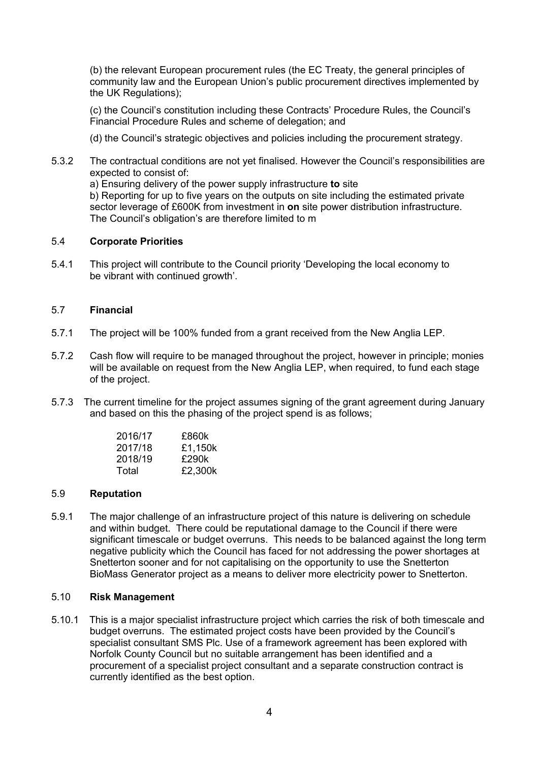(b) the relevant European procurement rules (the EC Treaty, the general principles of community law and the European Union's public procurement directives implemented by the UK Regulations);

(c) the Council's constitution including these Contracts' Procedure Rules, the Council's Financial Procedure Rules and scheme of delegation; and

(d) the Council's strategic objectives and policies including the procurement strategy.

5.3.2 The contractual conditions are not yet finalised. However the Council's responsibilities are expected to consist of:

a) Ensuring delivery of the power supply infrastructure **to** site b) Reporting for up to five years on the outputs on site including the estimated private sector leverage of £600K from investment in **on** site power distribution infrastructure. The Council's obligation's are therefore limited to m

#### 5.4 **Corporate Priorities**

5.4.1 This project will contribute to the Council priority 'Developing the local economy to be vibrant with continued growth'.

# 5.7 **Financial**

- 5.7.1 The project will be 100% funded from a grant received from the New Anglia LEP.
- 5.7.2 Cash flow will require to be managed throughout the project, however in principle; monies will be available on request from the New Anglia LEP, when required, to fund each stage of the project.
- 5.7.3 The current timeline for the project assumes signing of the grant agreement during January and based on this the phasing of the project spend is as follows;

| 2016/17 | £860k   |
|---------|---------|
| 2017/18 | £1,150k |
| 2018/19 | £290k   |
| Total   | £2,300k |

#### 5.9 **Reputation**

5.9.1 The major challenge of an infrastructure project of this nature is delivering on schedule and within budget. There could be reputational damage to the Council if there were significant timescale or budget overruns. This needs to be balanced against the long term negative publicity which the Council has faced for not addressing the power shortages at Snetterton sooner and for not capitalising on the opportunity to use the Snetterton BioMass Generator project as a means to deliver more electricity power to Snetterton.

# 5.10 **Risk Management**

5.10.1 This is a major specialist infrastructure project which carries the risk of both timescale and budget overruns. The estimated project costs have been provided by the Council's specialist consultant SMS Plc. Use of a framework agreement has been explored with Norfolk County Council but no suitable arrangement has been identified and a procurement of a specialist project consultant and a separate construction contract is currently identified as the best option.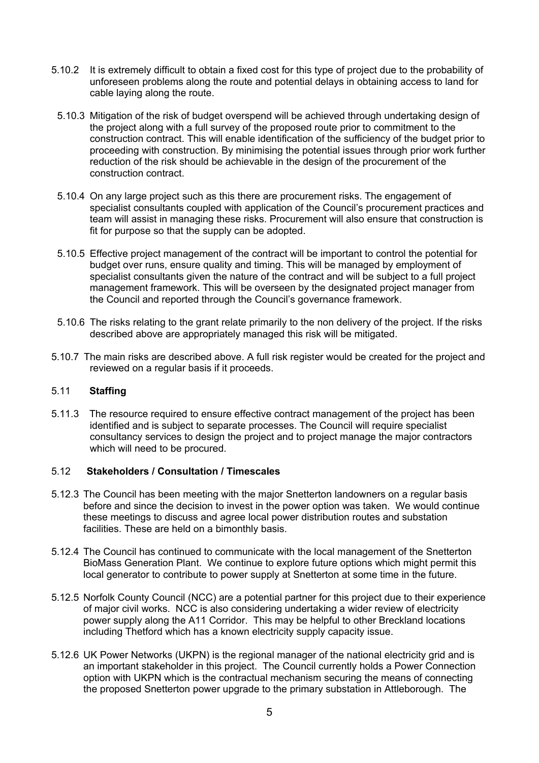- 5.10.2 It is extremely difficult to obtain a fixed cost for this type of project due to the probability of unforeseen problems along the route and potential delays in obtaining access to land for cable laying along the route.
	- 5.10.3 Mitigation of the risk of budget overspend will be achieved through undertaking design of the project along with a full survey of the proposed route prior to commitment to the construction contract. This will enable identification of the sufficiency of the budget prior to proceeding with construction. By minimising the potential issues through prior work further reduction of the risk should be achievable in the design of the procurement of the construction contract.
	- 5.10.4 On any large project such as this there are procurement risks. The engagement of specialist consultants coupled with application of the Council's procurement practices and team will assist in managing these risks. Procurement will also ensure that construction is fit for purpose so that the supply can be adopted.
	- 5.10.5 Effective project management of the contract will be important to control the potential for budget over runs, ensure quality and timing. This will be managed by employment of specialist consultants given the nature of the contract and will be subject to a full project management framework. This will be overseen by the designated project manager from the Council and reported through the Council's governance framework.
- 5.10.6 The risks relating to the grant relate primarily to the non delivery of the project. If the risks described above are appropriately managed this risk will be mitigated.
- 5.10.7 The main risks are described above. A full risk register would be created for the project and reviewed on a regular basis if it proceeds.

# 5.11 **Staffing**

5.11.3 The resource required to ensure effective contract management of the project has been identified and is subject to separate processes. The Council will require specialist consultancy services to design the project and to project manage the major contractors which will need to be procured.

#### 5.12 **Stakeholders / Consultation / Timescales**

- 5.12.3 The Council has been meeting with the major Snetterton landowners on a regular basis before and since the decision to invest in the power option was taken. We would continue these meetings to discuss and agree local power distribution routes and substation facilities. These are held on a bimonthly basis.
- 5.12.4 The Council has continued to communicate with the local management of the Snetterton BioMass Generation Plant. We continue to explore future options which might permit this local generator to contribute to power supply at Snetterton at some time in the future.
- 5.12.5 Norfolk County Council (NCC) are a potential partner for this project due to their experience of major civil works. NCC is also considering undertaking a wider review of electricity power supply along the A11 Corridor. This may be helpful to other Breckland locations including Thetford which has a known electricity supply capacity issue.
- 5.12.6 UK Power Networks (UKPN) is the regional manager of the national electricity grid and is an important stakeholder in this project. The Council currently holds a Power Connection option with UKPN which is the contractual mechanism securing the means of connecting the proposed Snetterton power upgrade to the primary substation in Attleborough. The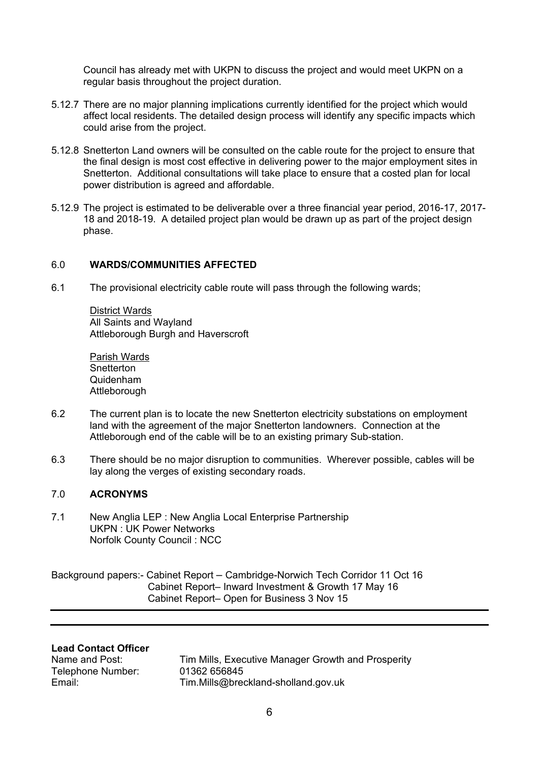Council has already met with UKPN to discuss the project and would meet UKPN on a regular basis throughout the project duration.

- 5.12.7 There are no major planning implications currently identified for the project which would affect local residents. The detailed design process will identify any specific impacts which could arise from the project.
- 5.12.8 Snetterton Land owners will be consulted on the cable route for the project to ensure that the final design is most cost effective in delivering power to the major employment sites in Snetterton. Additional consultations will take place to ensure that a costed plan for local power distribution is agreed and affordable.
- 5.12.9 The project is estimated to be deliverable over a three financial year period, 2016-17, 2017- 18 and 2018-19. A detailed project plan would be drawn up as part of the project design phase.

#### 6.0 **WARDS/COMMUNITIES AFFECTED**

6.1 The provisional electricity cable route will pass through the following wards;

District Wards All Saints and Wayland Attleborough Burgh and Haverscroft

Parish Wards **Snetterton** Quidenham Attleborough

- 6.2 The current plan is to locate the new Snetterton electricity substations on employment land with the agreement of the major Snetterton landowners. Connection at the Attleborough end of the cable will be to an existing primary Sub-station.
- 6.3 There should be no major disruption to communities. Wherever possible, cables will be lay along the verges of existing secondary roads.

# 7.0 **ACRONYMS**

7.1 New Anglia LEP : New Anglia Local Enterprise Partnership UKPN : UK Power Networks Norfolk County Council : NCC

Background papers:- Cabinet Report – Cambridge-Norwich Tech Corridor 11 Oct 16 Cabinet Report– Inward Investment & Growth 17 May 16 Cabinet Report– Open for Business 3 Nov 15

#### **Lead Contact Officer**

Telephone Number: 01362 656845

Name and Post: Tim Mills, Executive Manager Growth and Prosperity Email: Tim.Mills@breckland-sholland.gov.uk